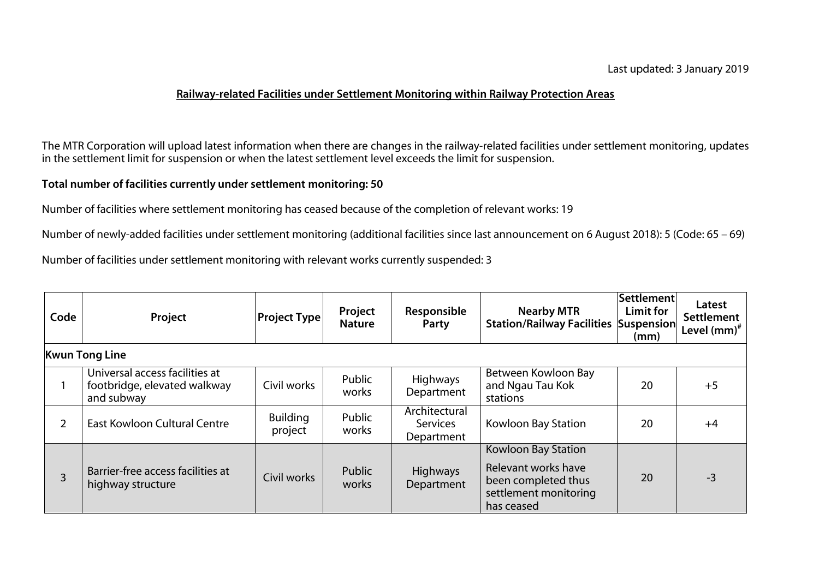## **Railway-related Facilities under Settlement Monitoring within Railway Protection Areas**

The MTR Corporation will upload latest information when there are changes in the railway-related facilities under settlement monitoring, updates in the settlement limit for suspension or when the latest settlement level exceeds the limit for suspension.

## **Total number of facilities currently under settlement monitoring: 50**

Number of facilities where settlement monitoring has ceased because of the completion of relevant works: 19

Number of newly-added facilities under settlement monitoring (additional facilities since last announcement on 6 August 2018): 5 (Code: 65 – 69)

Number of facilities under settlement monitoring with relevant works currently suspended: 3

| Code           | Project                                                                      | <b>Project Type</b>        | Project<br><b>Nature</b> | Responsible<br>Party                           | <b>Nearby MTR</b><br><b>Station/Railway Facilities Suspension</b>                                        | Settlement<br>Limit for<br>(mm) | Latest<br><b>Settlement</b><br>Level $(mm)^*$ |
|----------------|------------------------------------------------------------------------------|----------------------------|--------------------------|------------------------------------------------|----------------------------------------------------------------------------------------------------------|---------------------------------|-----------------------------------------------|
|                | <b>Kwun Tong Line</b>                                                        |                            |                          |                                                |                                                                                                          |                                 |                                               |
|                | Universal access facilities at<br>footbridge, elevated walkway<br>and subway | Civil works                | Public<br>works          | <b>Highways</b><br>Department                  | Between Kowloon Bay<br>and Ngau Tau Kok<br>stations                                                      | 20                              | $+5$                                          |
|                | East Kowloon Cultural Centre                                                 | <b>Building</b><br>project | Public<br>works          | Architectural<br><b>Services</b><br>Department | Kowloon Bay Station                                                                                      | 20                              | $+4$                                          |
| $\overline{3}$ | Barrier-free access facilities at<br>highway structure                       | Civil works                | Public<br>works          | <b>Highways</b><br>Department                  | Kowloon Bay Station<br>Relevant works have<br>been completed thus<br>settlement monitoring<br>has ceased | 20                              | $-3$                                          |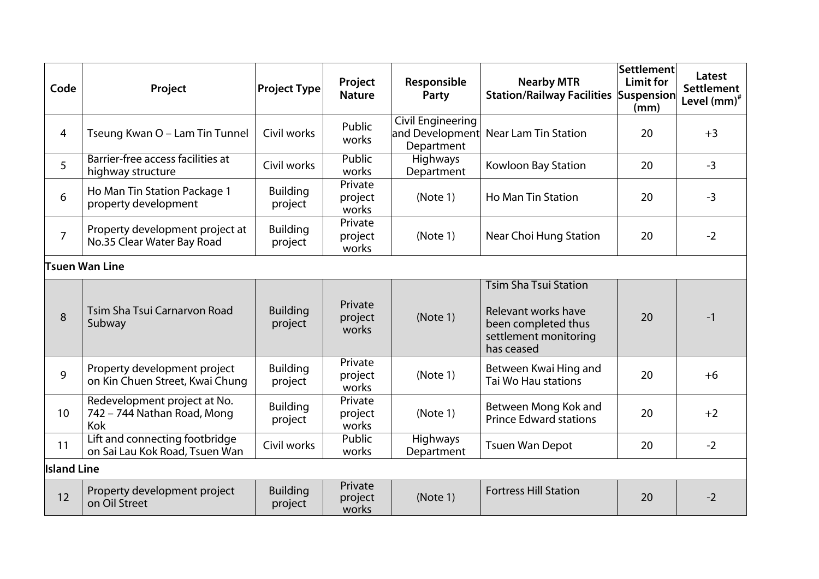| Code               | Project                                                            | <b>Project Type</b>        | Project<br><b>Nature</b>    | Responsible<br>Party                                      | <b>Nearby MTR</b><br><b>Station/Railway Facilities Suspension</b>                                                 | Settlement<br><b>Limit for</b><br>(mm) | Latest<br>Settlement<br>Level (mm) <sup>#</sup> |
|--------------------|--------------------------------------------------------------------|----------------------------|-----------------------------|-----------------------------------------------------------|-------------------------------------------------------------------------------------------------------------------|----------------------------------------|-------------------------------------------------|
| $\overline{4}$     | Tseung Kwan O - Lam Tin Tunnel                                     | Civil works                | Public<br>works             | <b>Civil Engineering</b><br>and Development<br>Department | <b>Near Lam Tin Station</b>                                                                                       | 20                                     | $+3$                                            |
| 5                  | Barrier-free access facilities at<br>highway structure             | Civil works                | <b>Public</b><br>works      | Highways<br>Department                                    | Kowloon Bay Station                                                                                               | 20                                     | $-3$                                            |
| 6                  | Ho Man Tin Station Package 1<br>property development               | <b>Building</b><br>project | Private<br>project<br>works | (Note 1)                                                  | <b>Ho Man Tin Station</b>                                                                                         | 20                                     | $-3$                                            |
| $\overline{7}$     | Property development project at<br>No.35 Clear Water Bay Road      | <b>Building</b><br>project | Private<br>project<br>works | (Note 1)                                                  | Near Choi Hung Station                                                                                            | 20                                     | $-2$                                            |
|                    | Tsuen Wan Line                                                     |                            |                             |                                                           |                                                                                                                   |                                        |                                                 |
| 8                  | Tsim Sha Tsui Carnarvon Road<br>Subway                             | <b>Building</b><br>project | Private<br>project<br>works | (Note 1)                                                  | <b>Tsim Sha Tsui Station</b><br>Relevant works have<br>been completed thus<br>settlement monitoring<br>has ceased | 20                                     | $-1$                                            |
| 9                  | Property development project<br>on Kin Chuen Street, Kwai Chung    | <b>Building</b><br>project | Private<br>project<br>works | (Note 1)                                                  | Between Kwai Hing and<br>Tai Wo Hau stations                                                                      | 20                                     | $+6$                                            |
| 10                 | Redevelopment project at No.<br>742 - 744 Nathan Road, Mong<br>Kok | <b>Building</b><br>project | Private<br>project<br>works | (Note 1)                                                  | Between Mong Kok and<br><b>Prince Edward stations</b>                                                             | 20                                     | $+2$                                            |
| 11                 | Lift and connecting footbridge<br>on Sai Lau Kok Road, Tsuen Wan   | Civil works                | <b>Public</b><br>works      | <b>Highways</b><br>Department                             | <b>Tsuen Wan Depot</b>                                                                                            | 20                                     | $-2$                                            |
| <b>Island Line</b> |                                                                    |                            |                             |                                                           |                                                                                                                   |                                        |                                                 |
| 12                 | Property development project<br>on Oil Street                      | <b>Building</b><br>project | Private<br>project<br>works | (Note 1)                                                  | <b>Fortress Hill Station</b>                                                                                      | 20                                     | $-2$                                            |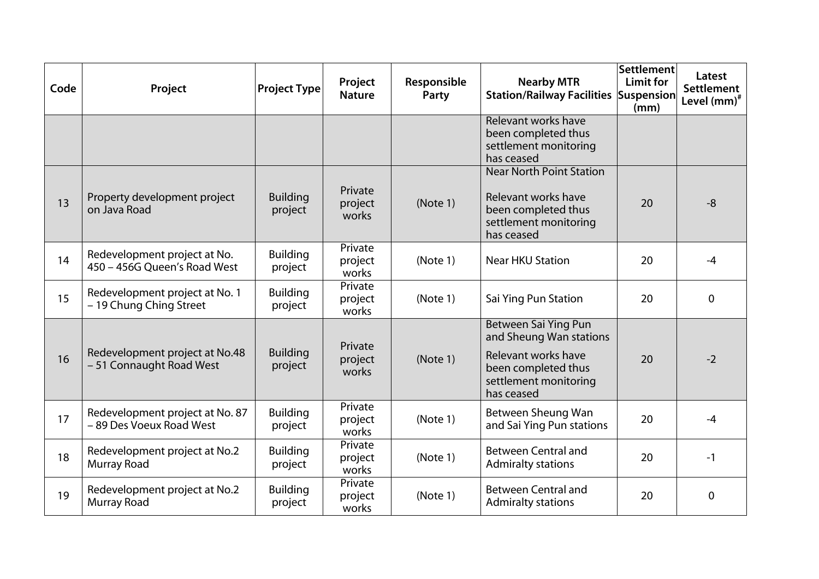| Code | Project                                                      | <b>Project Type</b>        | Project<br><b>Nature</b>    | Responsible<br>Party | <b>Nearby MTR</b><br><b>Station/Railway Facilities Suspension</b>                                                                    | Settlement<br>Limit for<br>(mm) | Latest<br><b>Settlement</b><br>Level (mm) <sup>#</sup> |
|------|--------------------------------------------------------------|----------------------------|-----------------------------|----------------------|--------------------------------------------------------------------------------------------------------------------------------------|---------------------------------|--------------------------------------------------------|
|      |                                                              |                            |                             |                      | Relevant works have<br>been completed thus<br>settlement monitoring<br>has ceased                                                    |                                 |                                                        |
| 13   | Property development project<br>on Java Road                 | <b>Building</b><br>project | Private<br>project<br>works | (Note 1)             | <b>Near North Point Station</b><br>Relevant works have<br>been completed thus<br>settlement monitoring<br>has ceased                 | 20                              | $-8$                                                   |
| 14   | Redevelopment project at No.<br>450 - 456G Queen's Road West | <b>Building</b><br>project | Private<br>project<br>works | (Note 1)             | <b>Near HKU Station</b>                                                                                                              | 20                              | $-4$                                                   |
| 15   | Redevelopment project at No. 1<br>- 19 Chung Ching Street    | <b>Building</b><br>project | Private<br>project<br>works | (Note 1)             | Sai Ying Pun Station                                                                                                                 | 20                              | $\overline{0}$                                         |
| 16   | Redevelopment project at No.48<br>- 51 Connaught Road West   | <b>Building</b><br>project | Private<br>project<br>works | (Note 1)             | Between Sai Ying Pun<br>and Sheung Wan stations<br>Relevant works have<br>been completed thus<br>settlement monitoring<br>has ceased | 20                              | $-2$                                                   |
| 17   | Redevelopment project at No. 87<br>- 89 Des Voeux Road West  | <b>Building</b><br>project | Private<br>project<br>works | (Note 1)             | Between Sheung Wan<br>and Sai Ying Pun stations                                                                                      | 20                              | $-4$                                                   |
| 18   | Redevelopment project at No.2<br>Murray Road                 | <b>Building</b><br>project | Private<br>project<br>works | (Note 1)             | <b>Between Central and</b><br><b>Admiralty stations</b>                                                                              | 20                              | $-1$                                                   |
| 19   | Redevelopment project at No.2<br>Murray Road                 | <b>Building</b><br>project | Private<br>project<br>works | (Note 1)             | <b>Between Central and</b><br><b>Admiralty stations</b>                                                                              | 20                              | $\overline{0}$                                         |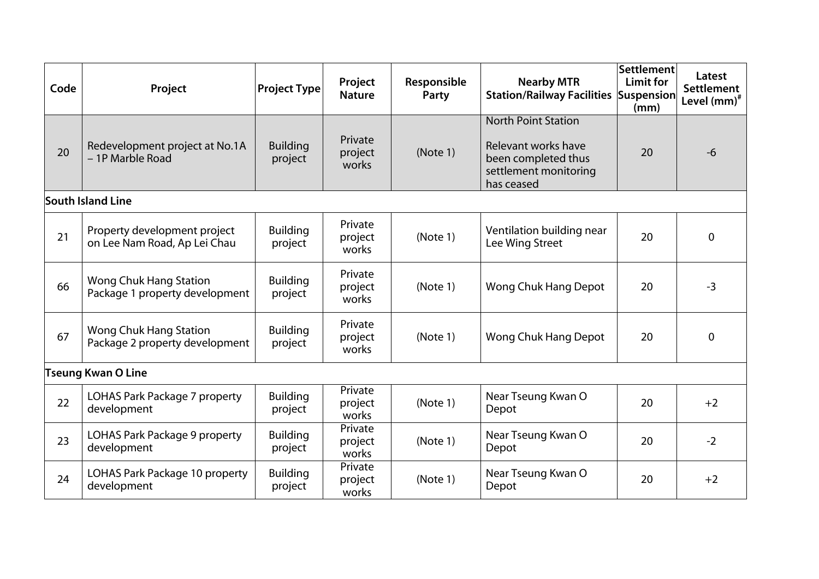| Code | Project                                                      | <b>Project Type</b>        | Project<br><b>Nature</b>    | Responsible<br>Party | <b>Nearby MTR</b><br><b>Station/Railway Facilities Suspension</b>                                               | Settlement<br>Limit for<br>(mm) | Latest<br><b>Settlement</b><br>Level $(mm)^*$ |
|------|--------------------------------------------------------------|----------------------------|-----------------------------|----------------------|-----------------------------------------------------------------------------------------------------------------|---------------------------------|-----------------------------------------------|
| 20   | Redevelopment project at No.1A<br>- 1P Marble Road           | <b>Building</b><br>project | Private<br>project<br>works | (Note 1)             | <b>North Point Station</b><br>Relevant works have<br>been completed thus<br>settlement monitoring<br>has ceased | 20                              | $-6$                                          |
|      | <b>South Island Line</b>                                     |                            |                             |                      |                                                                                                                 |                                 |                                               |
| 21   | Property development project<br>on Lee Nam Road, Ap Lei Chau | <b>Building</b><br>project | Private<br>project<br>works | (Note 1)             | Ventilation building near<br>Lee Wing Street                                                                    | 20                              | $\mathbf 0$                                   |
| 66   | Wong Chuk Hang Station<br>Package 1 property development     | <b>Building</b><br>project | Private<br>project<br>works | (Note 1)             | Wong Chuk Hang Depot                                                                                            | 20                              | $-3$                                          |
| 67   | Wong Chuk Hang Station<br>Package 2 property development     | <b>Building</b><br>project | Private<br>project<br>works | (Note 1)             | Wong Chuk Hang Depot                                                                                            | 20                              | $\mathbf{0}$                                  |
|      | <b>Tseung Kwan O Line</b>                                    |                            |                             |                      |                                                                                                                 |                                 |                                               |
| 22   | LOHAS Park Package 7 property<br>development                 | <b>Building</b><br>project | Private<br>project<br>works | (Note 1)             | Near Tseung Kwan O<br>Depot                                                                                     | 20                              | $+2$                                          |
| 23   | LOHAS Park Package 9 property<br>development                 | <b>Building</b><br>project | Private<br>project<br>works | (Note 1)             | Near Tseung Kwan O<br>Depot                                                                                     | 20                              | $-2$                                          |
| 24   | LOHAS Park Package 10 property<br>development                | <b>Building</b><br>project | Private<br>project<br>works | (Note 1)             | Near Tseung Kwan O<br>Depot                                                                                     | 20                              | $+2$                                          |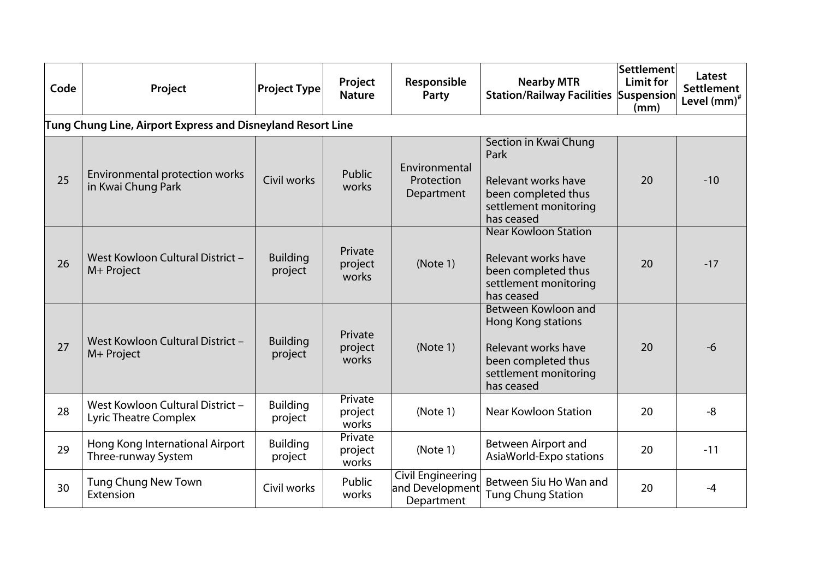| Code | Project                                                          | <b>Project Type</b>        | Project<br><b>Nature</b>    | Responsible<br>Party                                      | <b>Nearby MTR</b><br><b>Station/Railway Facilities Suspension</b>                                                              | <b>Settlement</b><br><b>Limit for</b><br>(mm) | Latest<br><b>Settlement</b><br>Level (mm) <sup>#</sup> |  |  |  |
|------|------------------------------------------------------------------|----------------------------|-----------------------------|-----------------------------------------------------------|--------------------------------------------------------------------------------------------------------------------------------|-----------------------------------------------|--------------------------------------------------------|--|--|--|
|      | Tung Chung Line, Airport Express and Disneyland Resort Line      |                            |                             |                                                           |                                                                                                                                |                                               |                                                        |  |  |  |
| 25   | Environmental protection works<br>in Kwai Chung Park             | Civil works                | Public<br>works             | Environmental<br>Protection<br>Department                 | Section in Kwai Chung<br>Park<br>Relevant works have<br>been completed thus<br>settlement monitoring<br>has ceased             | 20                                            | $-10$                                                  |  |  |  |
| 26   | West Kowloon Cultural District -<br>M+ Project                   | <b>Building</b><br>project | Private<br>project<br>works | (Note 1)                                                  | <b>Near Kowloon Station</b><br>Relevant works have<br>been completed thus<br>settlement monitoring<br>has ceased               | 20                                            | $-17$                                                  |  |  |  |
| 27   | West Kowloon Cultural District -<br>M+ Project                   | <b>Building</b><br>project | Private<br>project<br>works | (Note 1)                                                  | Between Kowloon and<br>Hong Kong stations<br>Relevant works have<br>been completed thus<br>settlement monitoring<br>has ceased | 20                                            | $-6$                                                   |  |  |  |
| 28   | West Kowloon Cultural District -<br><b>Lyric Theatre Complex</b> | <b>Building</b><br>project | Private<br>project<br>works | (Note 1)                                                  | <b>Near Kowloon Station</b>                                                                                                    | 20                                            | $-8$                                                   |  |  |  |
| 29   | Hong Kong International Airport<br>Three-runway System           | <b>Building</b><br>project | Private<br>project<br>works | (Note 1)                                                  | Between Airport and<br>AsiaWorld-Expo stations                                                                                 | 20                                            | $-11$                                                  |  |  |  |
| 30   | <b>Tung Chung New Town</b><br>Extension                          | Civil works                | Public<br>works             | <b>Civil Engineering</b><br>and Development<br>Department | Between Siu Ho Wan and<br><b>Tung Chung Station</b>                                                                            | 20                                            | -4                                                     |  |  |  |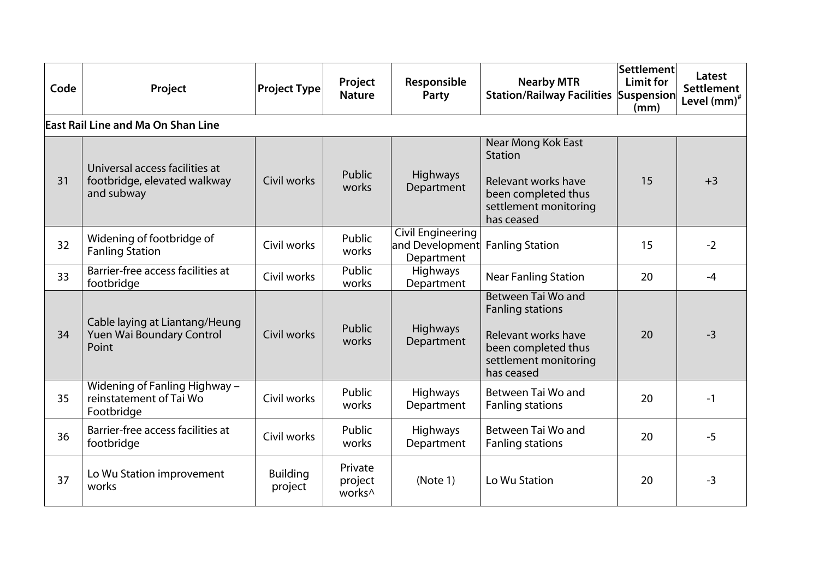| Code | Project                                                                      | <b>Project Type</b>        | Project<br><b>Nature</b>                 | Responsible<br>Party                                      | <b>Nearby MTR</b><br><b>Station/Railway Facilities Suspension</b>                                                                  | Settlement<br><b>Limit for</b><br>(mm) | Latest<br><b>Settlement</b><br>Level $(mm)^*$ |
|------|------------------------------------------------------------------------------|----------------------------|------------------------------------------|-----------------------------------------------------------|------------------------------------------------------------------------------------------------------------------------------------|----------------------------------------|-----------------------------------------------|
|      | East Rail Line and Ma On Shan Line                                           |                            |                                          |                                                           |                                                                                                                                    |                                        |                                               |
| 31   | Universal access facilities at<br>footbridge, elevated walkway<br>and subway | Civil works                | Public<br>works                          | <b>Highways</b><br>Department                             | Near Mong Kok East<br><b>Station</b><br>Relevant works have<br>been completed thus<br>settlement monitoring<br>has ceased          | 15                                     | $+3$                                          |
| 32   | Widening of footbridge of<br><b>Fanling Station</b>                          | Civil works                | Public<br>works                          | <b>Civil Engineering</b><br>and Development<br>Department | <b>Fanling Station</b>                                                                                                             | 15                                     | $-2$                                          |
| 33   | Barrier-free access facilities at<br>footbridge                              | Civil works                | <b>Public</b><br>works                   | <b>Highways</b><br>Department                             | <b>Near Fanling Station</b>                                                                                                        | 20                                     | $-4$                                          |
| 34   | Cable laying at Liantang/Heung<br>Yuen Wai Boundary Control<br>Point         | Civil works                | Public<br>works                          | <b>Highways</b><br>Department                             | Between Tai Wo and<br><b>Fanling stations</b><br>Relevant works have<br>been completed thus<br>settlement monitoring<br>has ceased | 20                                     | $-3$                                          |
| 35   | Widening of Fanling Highway -<br>reinstatement of Tai Wo<br>Footbridge       | Civil works                | Public<br>works                          | <b>Highways</b><br>Department                             | Between Tai Wo and<br><b>Fanling stations</b>                                                                                      | 20                                     | $-1$                                          |
| 36   | Barrier-free access facilities at<br>footbridge                              | Civil works                | Public<br>works                          | <b>Highways</b><br>Department                             | Between Tai Wo and<br><b>Fanling stations</b>                                                                                      | 20                                     | $-5$                                          |
| 37   | Lo Wu Station improvement<br>works                                           | <b>Building</b><br>project | Private<br>project<br>works <sup>^</sup> | (Note 1)                                                  | Lo Wu Station                                                                                                                      | 20                                     | $-3$                                          |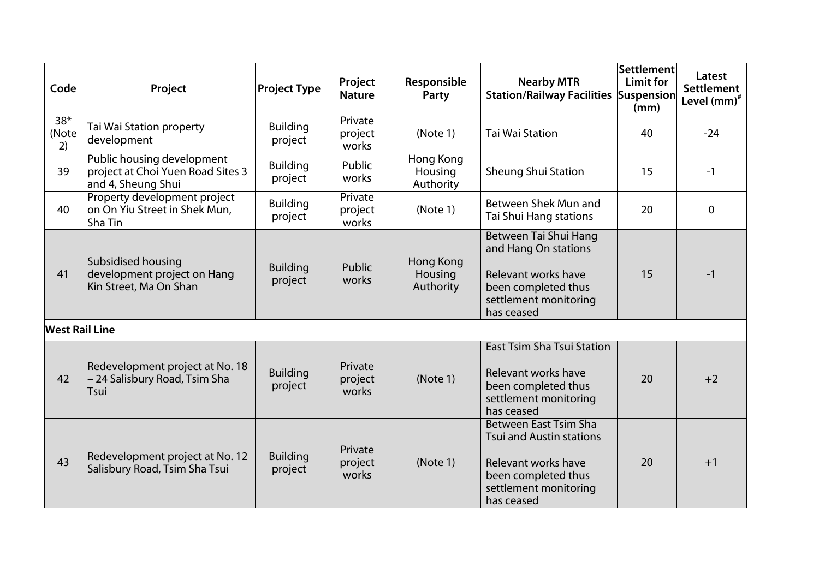| Code                  | Project                                                                               | <b>Project Type</b>        | Project<br><b>Nature</b>    | Responsible<br>Party                     | <b>Nearby MTR</b><br><b>Station/Railway Facilities Suspension</b>                                                                                    | Settlement<br>Limit for<br>(mm) | Latest<br><b>Settlement</b><br>Level $(mm)^*$ |
|-----------------------|---------------------------------------------------------------------------------------|----------------------------|-----------------------------|------------------------------------------|------------------------------------------------------------------------------------------------------------------------------------------------------|---------------------------------|-----------------------------------------------|
| $38*$<br>(Note<br>2)  | Tai Wai Station property<br>development                                               | <b>Building</b><br>project | Private<br>project<br>works | (Note 1)                                 | <b>Tai Wai Station</b>                                                                                                                               | 40                              | $-24$                                         |
| 39                    | Public housing development<br>project at Choi Yuen Road Sites 3<br>and 4, Sheung Shui | <b>Building</b><br>project | Public<br>works             | <b>Hong Kong</b><br>Housing<br>Authority | <b>Sheung Shui Station</b>                                                                                                                           | 15                              | $-1$                                          |
| 40                    | Property development project<br>on On Yiu Street in Shek Mun,<br>Sha Tin              | <b>Building</b><br>project | Private<br>project<br>works | (Note 1)                                 | Between Shek Mun and<br>Tai Shui Hang stations                                                                                                       | 20                              | $\Omega$                                      |
| 41                    | Subsidised housing<br>development project on Hang<br>Kin Street, Ma On Shan           | <b>Building</b><br>project | Public<br>works             | Hong Kong<br>Housing<br>Authority        | Between Tai Shui Hang<br>and Hang On stations<br>Relevant works have<br>been completed thus<br>settlement monitoring<br>has ceased                   | 15                              | $-1$                                          |
| <b>West Rail Line</b> |                                                                                       |                            |                             |                                          |                                                                                                                                                      |                                 |                                               |
| 42                    | Redevelopment project at No. 18<br>- 24 Salisbury Road, Tsim Sha<br>Tsui              | <b>Building</b><br>project | Private<br>project<br>works | (Note 1)                                 | <b>East Tsim Sha Tsui Station</b><br>Relevant works have<br>been completed thus<br>settlement monitoring<br>has ceased                               | 20                              | $+2$                                          |
| 43                    | Redevelopment project at No. 12<br>Salisbury Road, Tsim Sha Tsui                      | <b>Building</b><br>project | Private<br>project<br>works | (Note 1)                                 | <b>Between East Tsim Sha</b><br><b>Tsui and Austin stations</b><br>Relevant works have<br>been completed thus<br>settlement monitoring<br>has ceased | 20                              | $+1$                                          |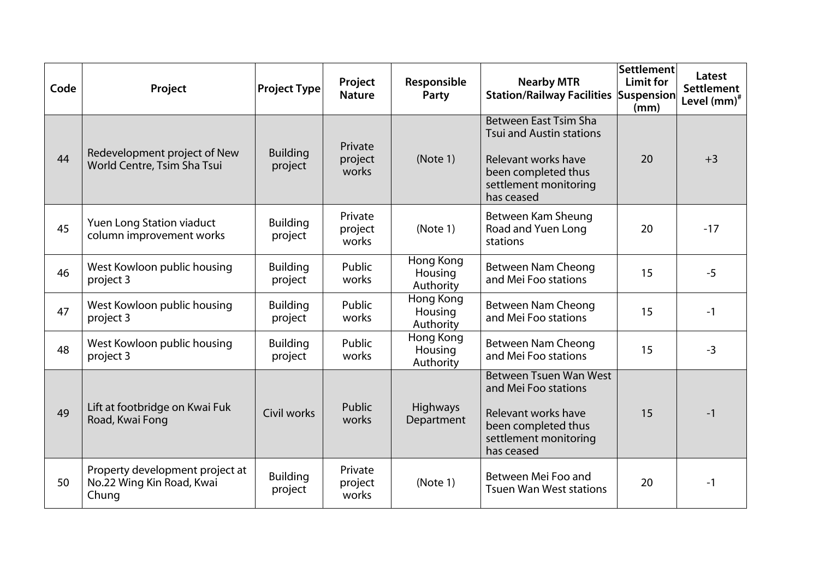| Code | Project                                                               | <b>Project Type</b>        | Project<br><b>Nature</b>    | Responsible<br>Party              | <b>Nearby MTR</b><br><b>Station/Railway Facilities Suspension</b>                                                                                    | Settlement<br>Limit for<br>(mm) | Latest<br><b>Settlement</b><br>Level $(mm)^*$ |
|------|-----------------------------------------------------------------------|----------------------------|-----------------------------|-----------------------------------|------------------------------------------------------------------------------------------------------------------------------------------------------|---------------------------------|-----------------------------------------------|
| 44   | Redevelopment project of New<br>World Centre, Tsim Sha Tsui           | <b>Building</b><br>project | Private<br>project<br>works | (Note 1)                          | <b>Between East Tsim Sha</b><br><b>Tsui and Austin stations</b><br>Relevant works have<br>been completed thus<br>settlement monitoring<br>has ceased | 20                              | $+3$                                          |
| 45   | Yuen Long Station viaduct<br>column improvement works                 | <b>Building</b><br>project | Private<br>project<br>works | (Note 1)                          | Between Kam Sheung<br>Road and Yuen Long<br>stations                                                                                                 | 20                              | $-17$                                         |
| 46   | West Kowloon public housing<br>project 3                              | <b>Building</b><br>project | Public<br>works             | Hong Kong<br>Housing<br>Authority | <b>Between Nam Cheong</b><br>and Mei Foo stations                                                                                                    | 15                              | $-5$                                          |
| 47   | West Kowloon public housing<br>project 3                              | <b>Building</b><br>project | Public<br>works             | Hong Kong<br>Housing<br>Authority | <b>Between Nam Cheong</b><br>and Mei Foo stations                                                                                                    | 15                              | $-1$                                          |
| 48   | West Kowloon public housing<br>project 3                              | <b>Building</b><br>project | Public<br>works             | Hong Kong<br>Housing<br>Authority | Between Nam Cheong<br>and Mei Foo stations                                                                                                           | 15                              | $-3$                                          |
| 49   | Lift at footbridge on Kwai Fuk<br>Road, Kwai Fong                     | Civil works                | Public<br>works             | <b>Highways</b><br>Department     | <b>Between Tsuen Wan West</b><br>and Mei Foo stations<br>Relevant works have<br>been completed thus<br>settlement monitoring<br>has ceased           | 15                              | $-1$                                          |
| 50   | Property development project at<br>No.22 Wing Kin Road, Kwai<br>Chung | <b>Building</b><br>project | Private<br>project<br>works | (Note 1)                          | Between Mei Foo and<br><b>Tsuen Wan West stations</b>                                                                                                | 20                              | $-1$                                          |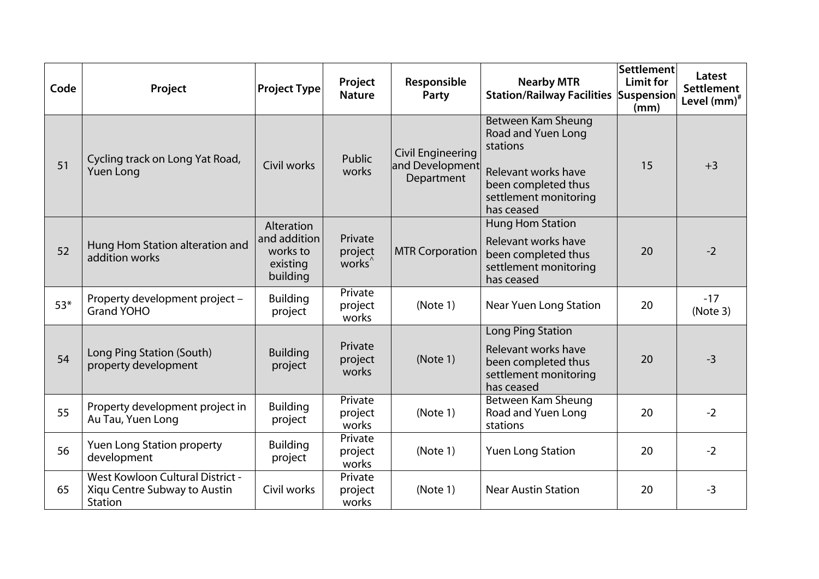| Code  | Project                                                                            | <b>Project Type</b>                                            | Project<br><b>Nature</b>                 | Responsible<br>Party                                      | <b>Nearby MTR</b><br><b>Station/Railway Facilities Suspension</b>                                                                         | Settlement<br>Limit for<br>(mm) | Latest<br><b>Settlement</b><br>Level (mm) <sup>#</sup> |
|-------|------------------------------------------------------------------------------------|----------------------------------------------------------------|------------------------------------------|-----------------------------------------------------------|-------------------------------------------------------------------------------------------------------------------------------------------|---------------------------------|--------------------------------------------------------|
| 51    | Cycling track on Long Yat Road,<br><b>Yuen Long</b>                                | Civil works                                                    | Public<br>works                          | <b>Civil Engineering</b><br>and Development<br>Department | Between Kam Sheung<br>Road and Yuen Long<br>stations<br>Relevant works have<br>been completed thus<br>settlement monitoring<br>has ceased | 15                              | $+3$                                                   |
| 52    | Hung Hom Station alteration and<br>addition works                                  | Alteration<br>and addition<br>works to<br>existing<br>building | Private<br>project<br>works <sup>^</sup> | <b>MTR Corporation</b>                                    | Hung Hom Station<br>Relevant works have<br>been completed thus<br>settlement monitoring<br>has ceased                                     | 20                              | $-2$                                                   |
| $53*$ | Property development project -<br><b>Grand YOHO</b>                                | <b>Building</b><br>project                                     | Private<br>project<br>works              | (Note 1)                                                  | Near Yuen Long Station                                                                                                                    | 20                              | $-17$<br>(Note 3)                                      |
| 54    | Long Ping Station (South)<br>property development                                  | <b>Building</b><br>project                                     | Private<br>project<br>works              | (Note 1)                                                  | Long Ping Station<br>Relevant works have<br>been completed thus<br>settlement monitoring<br>has ceased                                    | 20                              | $-3$                                                   |
| 55    | Property development project in<br>Au Tau, Yuen Long                               | <b>Building</b><br>project                                     | Private<br>project<br>works              | (Note 1)                                                  | Between Kam Sheung<br>Road and Yuen Long<br>stations                                                                                      | 20                              | $-2$                                                   |
| 56    | <b>Yuen Long Station property</b><br>development                                   | <b>Building</b><br>project                                     | Private<br>project<br>works              | (Note 1)                                                  | <b>Yuen Long Station</b>                                                                                                                  | 20                              | $-2$                                                   |
| 65    | <b>West Kowloon Cultural District -</b><br>Xiqu Centre Subway to Austin<br>Station | Civil works                                                    | Private<br>project<br>works              | (Note 1)                                                  | <b>Near Austin Station</b>                                                                                                                | 20                              | $-3$                                                   |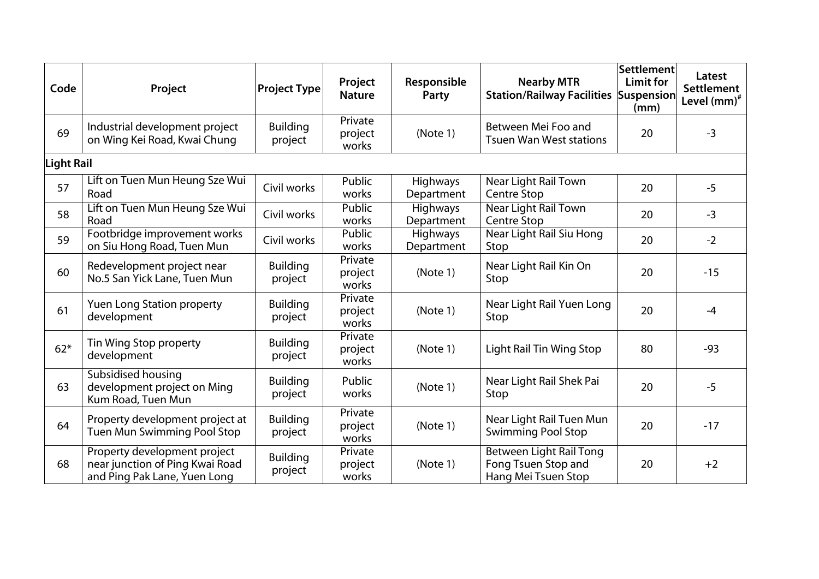| Code              | Project                                                                                         | Project Type               | Project<br><b>Nature</b>    | Responsible<br>Party          | <b>Nearby MTR</b><br><b>Station/Railway Facilities Suspension</b>            | Settlement<br>Limit for<br>(mm) | Latest<br><b>Settlement</b><br>Level (mm) <sup>#</sup> |
|-------------------|-------------------------------------------------------------------------------------------------|----------------------------|-----------------------------|-------------------------------|------------------------------------------------------------------------------|---------------------------------|--------------------------------------------------------|
| 69                | Industrial development project<br>on Wing Kei Road, Kwai Chung                                  | <b>Building</b><br>project | Private<br>project<br>works | (Note 1)                      | Between Mei Foo and<br><b>Tsuen Wan West stations</b>                        | 20                              | $-3$                                                   |
| <b>Light Rail</b> |                                                                                                 |                            |                             |                               |                                                                              |                                 |                                                        |
| 57                | Lift on Tuen Mun Heung Sze Wui<br>Road                                                          | Civil works                | Public<br>works             | <b>Highways</b><br>Department | Near Light Rail Town<br><b>Centre Stop</b>                                   | 20                              | $-5$                                                   |
| 58                | Lift on Tuen Mun Heung Sze Wui<br>Road                                                          | Civil works                | Public<br>works             | <b>Highways</b><br>Department | Near Light Rail Town<br>Centre Stop                                          | 20                              | $-3$                                                   |
| 59                | Footbridge improvement works<br>on Siu Hong Road, Tuen Mun                                      | Civil works                | <b>Public</b><br>works      | <b>Highways</b><br>Department | Near Light Rail Siu Hong<br>Stop                                             | 20                              | $-2$                                                   |
| 60                | Redevelopment project near<br>No.5 San Yick Lane, Tuen Mun                                      | <b>Building</b><br>project | Private<br>project<br>works | (Note 1)                      | Near Light Rail Kin On<br>Stop                                               | 20                              | $-15$                                                  |
| 61                | <b>Yuen Long Station property</b><br>development                                                | <b>Building</b><br>project | Private<br>project<br>works | (Note 1)                      | Near Light Rail Yuen Long<br>Stop                                            | 20                              | $-4$                                                   |
| $62*$             | Tin Wing Stop property<br>development                                                           | <b>Building</b><br>project | Private<br>project<br>works | (Note 1)                      | Light Rail Tin Wing Stop                                                     | 80                              | $-93$                                                  |
| 63                | Subsidised housing<br>development project on Ming<br>Kum Road, Tuen Mun                         | <b>Building</b><br>project | Public<br>works             | (Note 1)                      | Near Light Rail Shek Pai<br>Stop                                             | 20                              | $-5$                                                   |
| 64                | Property development project at<br>Tuen Mun Swimming Pool Stop                                  | <b>Building</b><br>project | Private<br>project<br>works | (Note 1)                      | Near Light Rail Tuen Mun<br><b>Swimming Pool Stop</b>                        | 20                              | $-17$                                                  |
| 68                | Property development project<br>near junction of Ping Kwai Road<br>and Ping Pak Lane, Yuen Long | <b>Building</b><br>project | Private<br>project<br>works | (Note 1)                      | <b>Between Light Rail Tong</b><br>Fong Tsuen Stop and<br>Hang Mei Tsuen Stop | 20                              | $+2$                                                   |